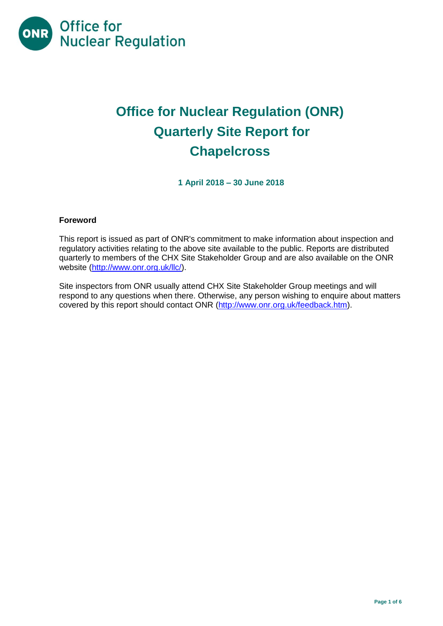

# **Office for Nuclear Regulation (ONR) Quarterly Site Report for Chapelcross**

**1 April 2018 – 30 June 2018**

## **Foreword**

This report is issued as part of ONR's commitment to make information about inspection and regulatory activities relating to the above site available to the public. Reports are distributed quarterly to members of the CHX Site Stakeholder Group and are also available on the ONR website [\(http://www.onr.org.uk/llc/\)](http://www.onr.org.uk/llc/).

Site inspectors from ONR usually attend CHX Site Stakeholder Group meetings and will respond to any questions when there. Otherwise, any person wishing to enquire about matters covered by this report should contact ONR [\(http://www.onr.org.uk/feedback.htm\)](http://www.onr.org.uk/feedback.htm).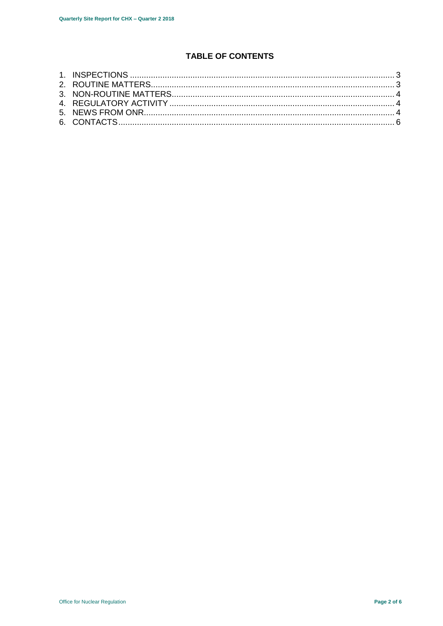# **TABLE OF CONTENTS**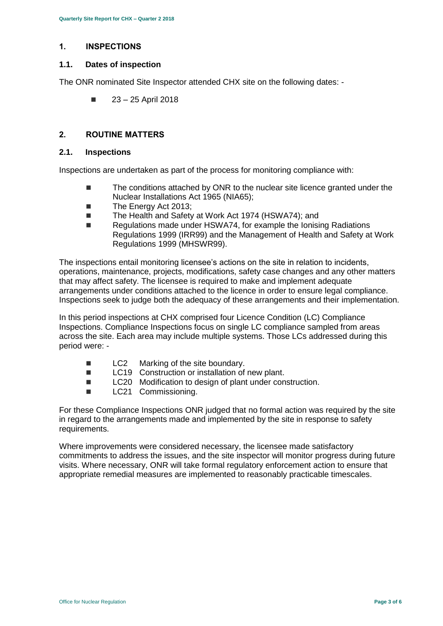## <span id="page-2-0"></span>**1. INSPECTIONS**

## **1.1. Dates of inspection**

The ONR nominated Site Inspector attended CHX site on the following dates: -

 $\blacksquare$  23 – 25 April 2018

## <span id="page-2-1"></span>**2. ROUTINE MATTERS**

#### **2.1. Inspections**

Inspections are undertaken as part of the process for monitoring compliance with:

- The conditions attached by ONR to the nuclear site licence granted under the Nuclear Installations Act 1965 (NIA65);
- The Energy Act 2013:
- The Health and Safety at Work Act 1974 (HSWA74); and
- Regulations made under HSWA74, for example the Ionising Radiations Regulations 1999 (IRR99) and the Management of Health and Safety at Work Regulations 1999 (MHSWR99).

The inspections entail monitoring licensee's actions on the site in relation to incidents, operations, maintenance, projects, modifications, safety case changes and any other matters that may affect safety. The licensee is required to make and implement adequate arrangements under conditions attached to the licence in order to ensure legal compliance. Inspections seek to judge both the adequacy of these arrangements and their implementation.

In this period inspections at CHX comprised four Licence Condition (LC) Compliance Inspections. Compliance Inspections focus on single LC compliance sampled from areas across the site. Each area may include multiple systems. Those LCs addressed during this period were: -

- LC2 Marking of the site boundary.
- LC19 Construction or installation of new plant.
- LC20 Modification to design of plant under construction.
- **LC21** Commissioning.

For these Compliance Inspections ONR judged that no formal action was required by the site in regard to the arrangements made and implemented by the site in response to safety requirements.

Where improvements were considered necessary, the licensee made satisfactory commitments to address the issues, and the site inspector will monitor progress during future visits. Where necessary, ONR will take formal regulatory enforcement action to ensure that appropriate remedial measures are implemented to reasonably practicable timescales.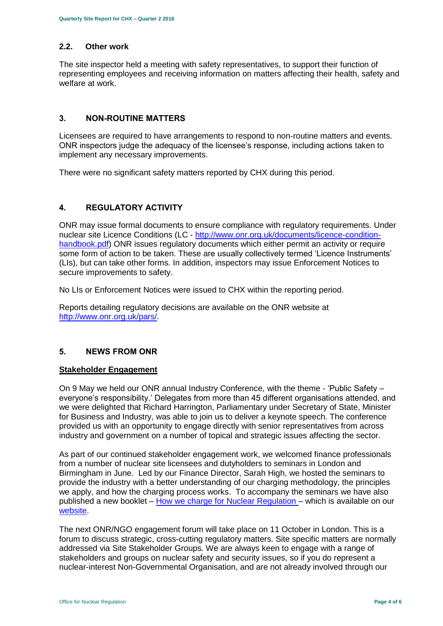### **2.2. Other work**

The site inspector held a meeting with safety representatives, to support their function of representing employees and receiving information on matters affecting their health, safety and welfare at work.

## <span id="page-3-0"></span>**3. NON-ROUTINE MATTERS**

Licensees are required to have arrangements to respond to non-routine matters and events. ONR inspectors judge the adequacy of the licensee's response, including actions taken to implement any necessary improvements.

There were no significant safety matters reported by CHX during this period.

## <span id="page-3-1"></span>**4. REGULATORY ACTIVITY**

ONR may issue formal documents to ensure compliance with regulatory requirements. Under nuclear site Licence Conditions (LC - [http://www.onr.org.uk/documents/licence-condition](http://www.onr.org.uk/documents/licence-condition-handbook.pdf)[handbook.pdf\)](http://www.onr.org.uk/documents/licence-condition-handbook.pdf) ONR issues regulatory documents which either permit an activity or require some form of action to be taken. These are usually collectively termed 'Licence Instruments' (LIs), but can take other forms. In addition, inspectors may issue Enforcement Notices to secure improvements to safety.

No LIs or Enforcement Notices were issued to CHX within the reporting period.

Reports detailing regulatory decisions are available on the ONR website at [http://www.onr.org.uk/pars/.](http://www.onr.org.uk/pars/)

#### <span id="page-3-2"></span>**5. NEWS FROM ONR**

#### **Stakeholder Engagement**

On 9 May we held our ONR annual Industry Conference, with the theme - 'Public Safety – everyone's responsibility.' Delegates from more than 45 different organisations attended, and we were delighted that Richard Harrington, Parliamentary under Secretary of State, Minister for Business and Industry, was able to join us to deliver a keynote speech. The conference provided us with an opportunity to engage directly with senior representatives from across industry and government on a number of topical and strategic issues affecting the sector.

As part of our continued stakeholder engagement work, we welcomed finance professionals from a number of nuclear site licensees and dutyholders to seminars in London and Birmingham in June. Led by our Finance Director, Sarah High, we hosted the seminars to provide the industry with a better understanding of our charging methodology, the principles we apply, and how the charging process works. To accompany the seminars we have also published a new booklet – [How we charge for Nuclear Regulation](http://www.onr.org.uk/documents/2018/how-we-charge-for-nuclear-regulation.pdf) – which is available on our [website.](http://www.onr.org.uk/documents/2018/how-we-charge-for-nuclear-regulation.pdf)

The next ONR/NGO engagement forum will take place on 11 October in London. This is a forum to discuss strategic, cross-cutting regulatory matters. Site specific matters are normally addressed via Site Stakeholder Groups. We are always keen to engage with a range of stakeholders and groups on nuclear safety and security issues, so if you do represent a nuclear-interest Non-Governmental Organisation, and are not already involved through our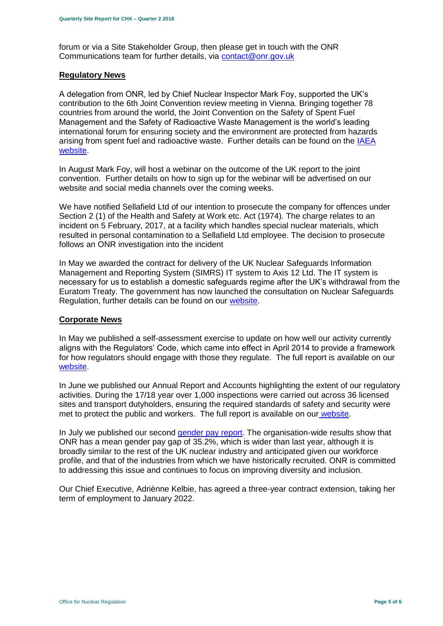forum or via a Site Stakeholder Group, then please get in touch with the ONR Communications team for further details, via [contact@onr.gov.uk](mailto:contact@onr.gov.uk)

#### **Regulatory News**

A delegation from ONR, led by Chief Nuclear Inspector Mark Foy, supported the UK's contribution to the 6th Joint Convention review meeting in Vienna. Bringing together 78 countries from around the world, the Joint Convention on the Safety of Spent Fuel Management and the Safety of Radioactive Waste Management is the world's leading international forum for ensuring society and the environment are protected from hazards arising from spent fuel and radioactive waste. Further details can be found on the IAEA [website.](https://www.iaea.org/events/sixth-review-meeting-of-the-contracting-parties-to-the-joint-convention-on-the-safety-of-spent-fuel-management-and-on-the-safety-of-radioactive-waste-management-joint-convention)

In August Mark Foy, will host a webinar on the outcome of the UK report to the joint convention. Further details on how to sign up for the webinar will be advertised on our website and social media channels over the coming weeks.

We have notified Sellafield Ltd of our intention to prosecute the company for offences under Section 2 (1) of the Health and Safety at Work etc. Act (1974). The charge relates to an incident on 5 February, 2017, at a facility which handles special nuclear materials, which resulted in personal contamination to a Sellafield Ltd employee. The decision to prosecute follows an ONR investigation into the incident

In May we awarded the contract for delivery of the UK Nuclear Safeguards Information Management and Reporting System (SIMRS) IT system to Axis 12 Ltd. The IT system is necessary for us to establish a domestic safeguards regime after the UK's withdrawal from the Euratom Treaty. The government has now launched the consultation on Nuclear Safeguards Regulation, further details can be found on our [website.](http://news.onr.org.uk/2018/07/government-consults-on-nuclear-safeguards-regulations/)

#### **Corporate News**

In May we published a self-assessment exercise to update on how well our activity currently aligns with the Regulators' Code, which came into effect in April 2014 to provide a framework for how regulators should engage with those they regulate. The full report is available on our [website.](http://www.onr.org.uk/regulators-code.htm)

In June we published our Annual Report and Accounts highlighting the extent of our regulatory activities. During the 17/18 year over 1,000 inspections were carried out across 36 licensed sites and transport dutyholders, ensuring the required standards of safety and security were met to protect the public and workers. The full report is available on our [website.](http://news.onr.org.uk/2018/06/annual-report-and-accounts-published/)

In July we published our second [gender pay report.](http://news.onr.org.uk/2018/07/onr-publishes-second-gender-pay-report/) The organisation-wide results show that ONR has a mean gender pay gap of 35.2%, which is wider than last year, although it is broadly similar to the rest of the UK nuclear industry and anticipated given our workforce profile, and that of the industries from which we have historically recruited. ONR is committed to addressing this issue and continues to focus on improving diversity and inclusion.

Our Chief Executive, Adriènne Kelbie, has agreed a three-year contract extension, taking her term of employment to January 2022.